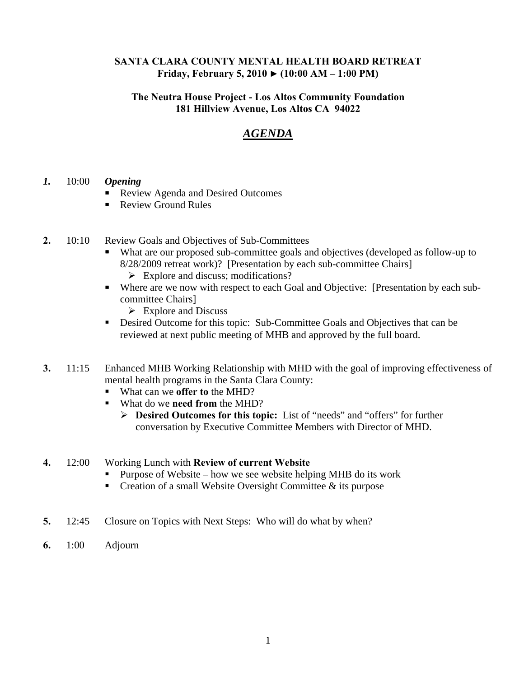#### **SANTA CLARA COUNTY MENTAL HEALTH BOARD RETREAT Friday, February 5, 2010 ► (10:00 AM – 1:00 PM)**

### **The Neutra House Project - Los Altos Community Foundation 181 Hillview Avenue, Los Altos CA 94022**

# *AGENDA*

### *1.* 10:00 *Opening*

- Review Agenda and Desired Outcomes
- Review Ground Rules
- **2.** 10:10 Review Goals and Objectives of Sub-Committees
	- What are our proposed sub-committee goals and objectives (developed as follow-up to 8/28/2009 retreat work)? [Presentation by each sub-committee Chairs]
		- $\triangleright$  Explore and discuss; modifications?
	- Where are we now with respect to each Goal and Objective: [Presentation by each subcommittee Chairs]
		- $\triangleright$  Explore and Discuss
	- Desired Outcome for this topic: Sub-Committee Goals and Objectives that can be reviewed at next public meeting of MHB and approved by the full board.
- **3.** 11:15 Enhanced MHB Working Relationship with MHD with the goal of improving effectiveness of mental health programs in the Santa Clara County:
	- What can we **offer to** the MHD?
	- What do we **need from** the MHD?
		- ¾ **Desired Outcomes for this topic:** List of "needs" and "offers" for further conversation by Executive Committee Members with Director of MHD.

#### **4.** 12:00 Working Lunch with **Review of current Website**

- Purpose of Website how we see website helping MHB do its work
- Creation of a small Website Oversight Committee  $\&$  its purpose
- **5.** 12:45 Closure on Topics with Next Steps: Who will do what by when?
- **6.** 1:00 Adjourn